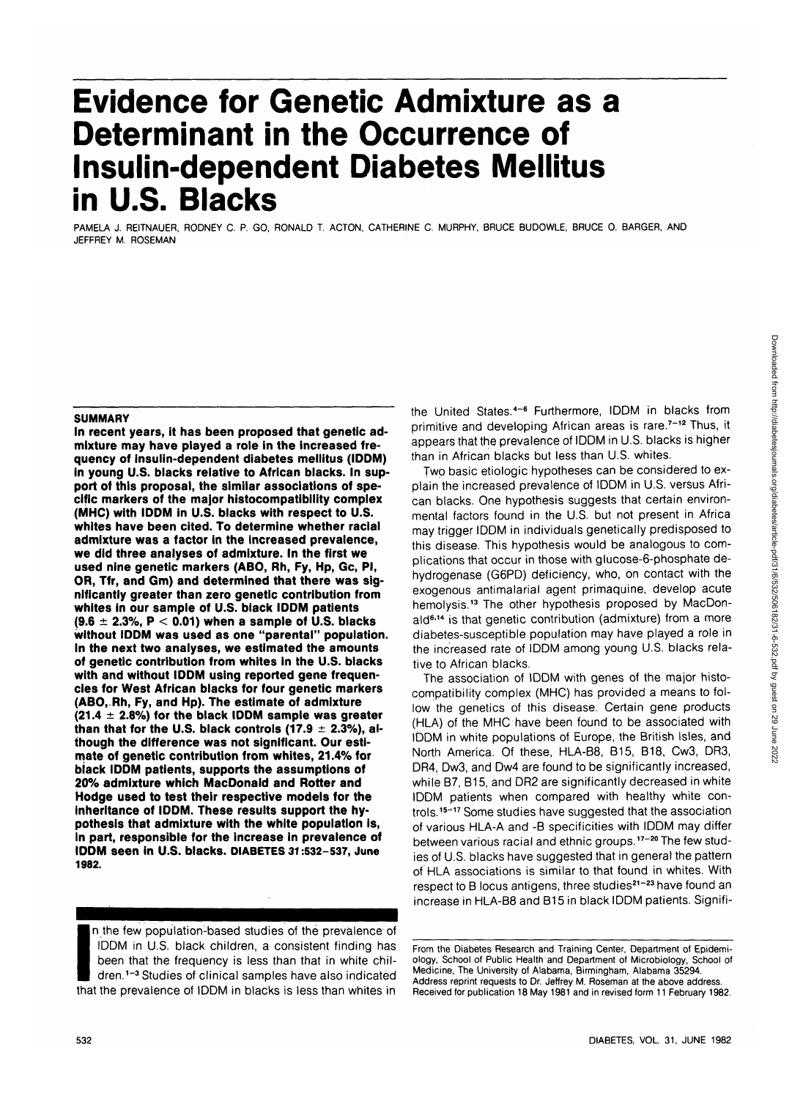# **Evidence for Genetic Admixture as a Determinant in the Occurrence of Insulin-dependent Diabetes Mellitus in U.S. Blacks**

PAMELA J. REITNAUER, RODNEY C. P. GO, RONALD T. ACTON, CATHERINE C. MURPHY, BRUCE BUDOWLE, BRUCE 0. BARGER, AND JEFFREY M. ROSEMAN

# **SUMMARY**

**In recent years, it has been proposed that genetic admixture may have played a role in the increased frequency of insulin-dependent diabetes mellitus (IDDM) in young U.S. blacks relative to African blacks. In support of this proposal, the similar associations of specific markers of the major histocompatibility complex (MHC) with IDDM in U.S. blacks with respect to U.S. whites have been cited. To determine whether racjal admixture was a factor in the increased prevalence, we did three analyses of admixture. In the first we used nine genetic markers (ABO, Rh, Fy, Hp, Gc, PI, OR, Tfr, and Gm) and determined that there was significantly greater than zero genetic contribution from whites in our sample of U.S. black IDDM patients (9.6 ± 2.3%, P < 0.01) when a sample of U.S. blacks without IDDM was used as one "parental" population. In the next two analyses, we estimated the amounts of genetic contribution from whites in the U.S. blacks with and without IDDM using reported gene frequencies for West African blacks for four genetic markers (ABO, Rh, Fy, and Hp). The estimate of admixture (21.4 ± 2.8%) for the black IDDM sample was greater than that for the U.S. black controls (17.9 ± 2.3%), although the difference was not significant. Our estimate of genetic contribution from whites, 21.4% for black IDDM patients, supports the assumptions of 20% admixture which MacDonald and Rotter and Hodge used to test their respective models for the inheritance of IDDM. These results support the hypothesis that admixture with the white population is, in part, responsible for the increase in prevalence of IDDM seen in U.S. blacks. DIABETES 37:532-537, June 1982.**

 $\begin{bmatrix} 1 \\ 0 \\ 0 \\ 0 \\ 0 \end{bmatrix}$ <br>If  $\begin{bmatrix} 0 \\ 1 \\ 0 \\ 0 \\ 0 \end{bmatrix}$ <br>that t n the few population-based studies of the prevalence of IDDM in U.S. black children, a consistent finding has been that the frequency is less than that in white children.<sup>1-3</sup> Studies of clinical samples have also indicated that the prevalence of IDDM in blacks is less than whites in

the United States.<sup>4-6</sup> Furthermore, IDDM in blacks from primitive and developing African areas is rare.<sup>7-12</sup> Thus, it appears that the prevalence of IDDM in U.S. blacks is higher than in African blacks but less than U.S. whites.

Two basic etiologic hypotheses can be considered to explain the increased prevalence of IDDM in U.S. versus African blacks. One hypothesis suggests that certain environmental factors found in the U.S. but not present in Africa may trigger IDDM in individuals genetically predisposed to this disease. This hypothesis would be analogous to complications that occur in those with glucose-6-phosphate dehydrogenase (G6PD) deficiency, who, on contact with the exogenous antimalarial agent primaquine, develop acute hemolysis.<sup>13</sup> The other hypothesis proposed by MacDonald<sup>6,14</sup> is that genetic contribution (admixture) from a more diabetes-susceptible population may have played a role in the increased rate of IDDM among young U.S. blacks relative to African blacks.

The association of IDDM with genes of the major histocompatibility complex (MHC) has provided a means to follow the genetics of this disease. Certain gene products (HLA) of the MHC have been found to be associated with IDDM in white populations of Europe, the British Isles, and North America. Of these, HLA-B8, B15, B18, Cw3, DR3, DR4, Dw3, and Dw4 are found to be significantly increased, while B7, B15, and DR2 are significantly decreased in white IDDM patients when compared with healthy white controls.<sup>15-17</sup> Some studies have suggested that the association of various HLA-A and -B specificities with IDDM may differ between various racial and ethnic groups.<sup>17-20</sup> The few studies of U.S. blacks have suggested that in general the pattern of HLA associations is similar to that found in whites. With respect to B locus antigens, three studies<sup>21-23</sup> have found an increase in HLA-B8 and B15 in black IDDM patients. Signifi-

From the Diabetes Research and Training Center, Department of Epidemiology, School of Public Health and Department of Microbiology, School of Medicine, The University of Alabama, Birmingham, Alabama 35294. Address reprint requests to Dr. Jeffrey M. Roseman at the above address. Received for publication 18 May 1981 and in revised form 11 February 1982.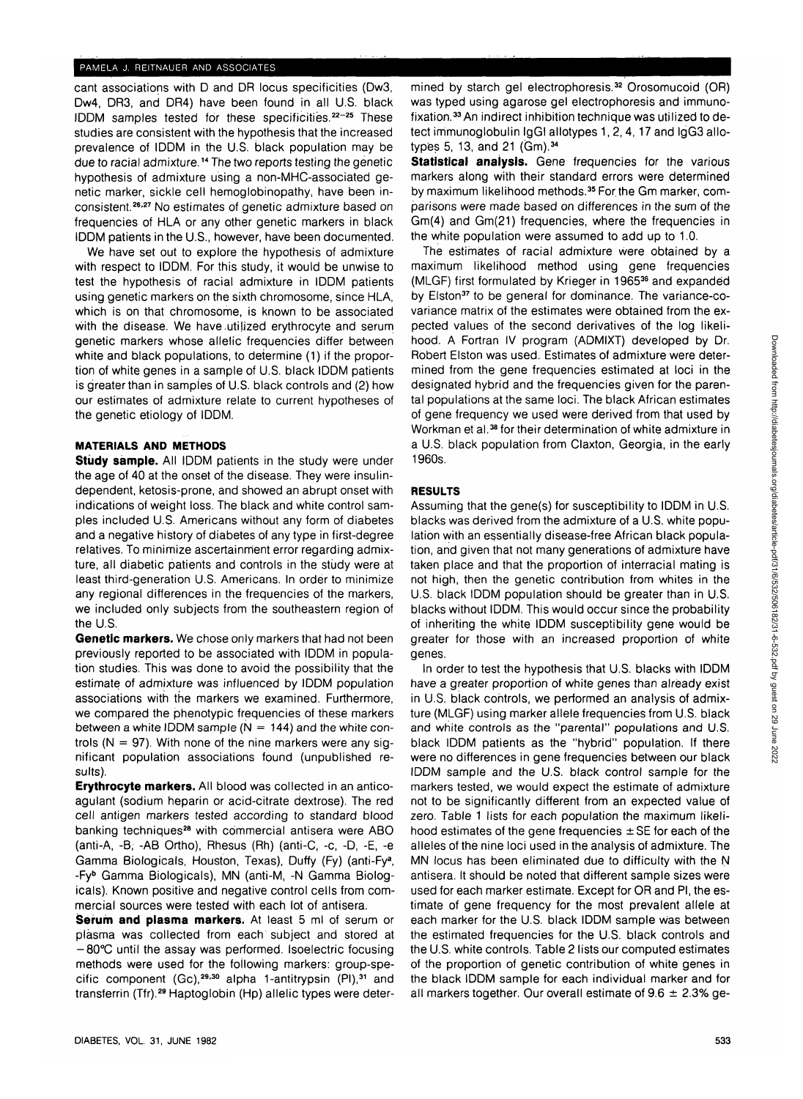# PAMELA J. REITNAUER AND ASSOCIATES

cant associations with D and DR locus specificities (Dw3, Dw4, DR3, and DR4) have been found in all U.S. black IDDM samples tested for these specificities.<sup>22-25</sup> These studies are consistent with the hypothesis that the increased prevalence of IDDM in the U.S. black population may be due to racial admixture.<sup>14</sup> The two reports testing the genetic hypothesis of admixture using a non-MHC-associated genetic marker, sickle cell hemoglobinopathy, have been inconsistent.<sup>26,27</sup> No estimates of genetic admixture based on frequencies of HLA or any other genetic markers in black IDDM patients in the U.S., however, have been documented.

We have set out to explore the hypothesis of admixture with respect to IDDM. For this study, it would be unwise to test the hypothesis of racial admixture in IDDM patients using genetic markers on the sixth chromosome, since HLA, which is on that chromosome, is known to be associated with the disease. We have utilized erythrocyte and serum genetic markers whose allelic frequencies differ between white and black populations, to determine (1) if the proportion of white genes in a sample of U.S. black IDDM patients is greater than in samples of U.S. black controls and (2) how our estimates of admixture relate to current hypotheses of the genetic etiology of IDDM.

## **MATERIALS AND METHODS**

**Study sample.** All IDDM patients in the study were under the age of 40 at the onset of the disease. They were insulindependent, ketosis-prone, and showed an abrupt onset with indications of weight loss. The black and white control samples included U.S. Americans without any form of diabetes and a negative history of diabetes of any type in first-degree relatives. To minimize ascertainment error regarding admixture, all diabetic patients and controls in the study were at least third-generation U.S. Americans. In order to minimize any regional differences in the frequencies of the markers, we included only subjects from the southeastern region of the U.S.

**Genetic markers.** We chose only markers that had not been previously reported to be associated with IDDM in population studies. This was done to avoid the possibility that the estimate of admixture was influenced by IDDM population associations with the markers we examined. Furthermore, we compared the phenotypic frequencies of these markers between a white IDDM sample ( $N = 144$ ) and the white controls  $(N = 97)$ . With none of the nine markers were any significant population associations found (unpublished results).

**Erythrocyte markers.** All blood was collected in an anticoagulant (sodium heparin or acid-citrate dextrose). The red cell antigen markers tested according to standard blood banking techniques<sup>28</sup> with commercial antisera were ABO (anti-A, -B, -AB Ortho), Rhesus (Rh) (anti-C, -c, -D, -E, -e Gamma Biologicals, Houston, Texas), Duffy (Fy) (anti-Fya , -Fyb Gamma Biologicals), MN (anti-M, -N Gamma Biologicals). Known positive and negative control cells from commercial sources were tested with each lot of antisera.

**Serum and plasma markers.** At least 5 ml of serum or plasma was collected from each subject and stored at -80°C until the assay was performed. Isoelectric focusing methods were used for the following markers: group-specific component (Gc),<sup>29,30</sup> alpha 1-antitrypsin (PI),<sup>31</sup> and transferrin (Tfr).29 Haptoglobin (Hp) allelic types were deter-

mined by starch gel electrophoresis.<sup>32</sup> Orosomucoid (OR) was typed using agarose gel electrophoresis and immunofixation.<sup>33</sup> An indirect inhibition technique was utilized to detect immunoglobulin IgGI allotypes 1,2,4,17 and lgG3 allotypes 5, 13, and 21 (Gm).34

**Statistical analysis.** Gene frequencies for the various markers along with their standard errors were determined by maximum likelihood methods.<sup>35</sup> For the Gm marker, comparisons were made based on differences in the sum of the Gm(4) and Gm(21) frequencies, where the frequencies in the white population were assumed to add up to 1.0.

The estimates of racial admixture were obtained by a maximum likelihood method using gene frequencies (MLGF) first formulated by Krieger in 1965<sup>36</sup> and expanded by Elston<sup>37</sup> to be general for dominance. The variance-covariance matrix of the estimates were obtained from the expected values of the second derivatives of the log likelihood. A Fortran IV program (ADMIXT) developed by Dr. Robert Elston was used. Estimates of admixture were determined from the gene frequencies estimated at loci in the designated hybrid and the frequencies given for the parental populations at the same loci. The black African estimates of gene frequency we used were derived from that used by Workman et al.<sup>38</sup> for their determination of white admixture in a U.S. black population from Claxton, Georgia, in the early 1960s.

# **RESULTS**

Assuming that the gene(s) for susceptibility to IDDM in U.S. blacks was derived from the admixture of a U.S. white population with an essentially disease-free African black population, and given that not many generations of admixture have taken place and that the proportion of interracial mating is not high, then the genetic contribution from whites in the U.S. black IDDM population should be greater than in U.S. blacks without IDDM. This would occur since the probability of inheriting the white IDDM susceptibility gene would be greater for those with an increased proportion of white genes.

In order to test the hypothesis that U.S. blacks with IDDM have a greater proportion of white genes than already exist in U.S. black controls, we performed an analysis of admixture (MLGF) using marker allele frequencies from U.S. black and white controls as the "parental" populations and U.S. black IDDM patients as the "hybrid" population. If there were no differences in gene frequencies between our black IDDM sample and the U.S. black control sample for the markers tested, we would expect the estimate of admixture not to be significantly different from an expected value of zero. Table 1 lists for each population the maximum likelihood estimates of the gene frequencies  $\pm$  SE for each of the alleles of the nine loci used in the analysis of admixture. The MN locus has been eliminated due to difficulty with the N antisera. It should be noted that different sample sizes were used for each marker estimate. Except for OR and PI, the estimate of gene frequency for the most prevalent allele at each marker for the U.S. black IDDM sample was between the estimated frequencies for the U.S. black controls and the U.S. white controls. Table 2 lists our computed estimates of the proportion of genetic contribution of white genes in the black IDDM sample for each individual marker and for all markers together. Our overall estimate of  $9.6 \pm 2.3\%$  ge-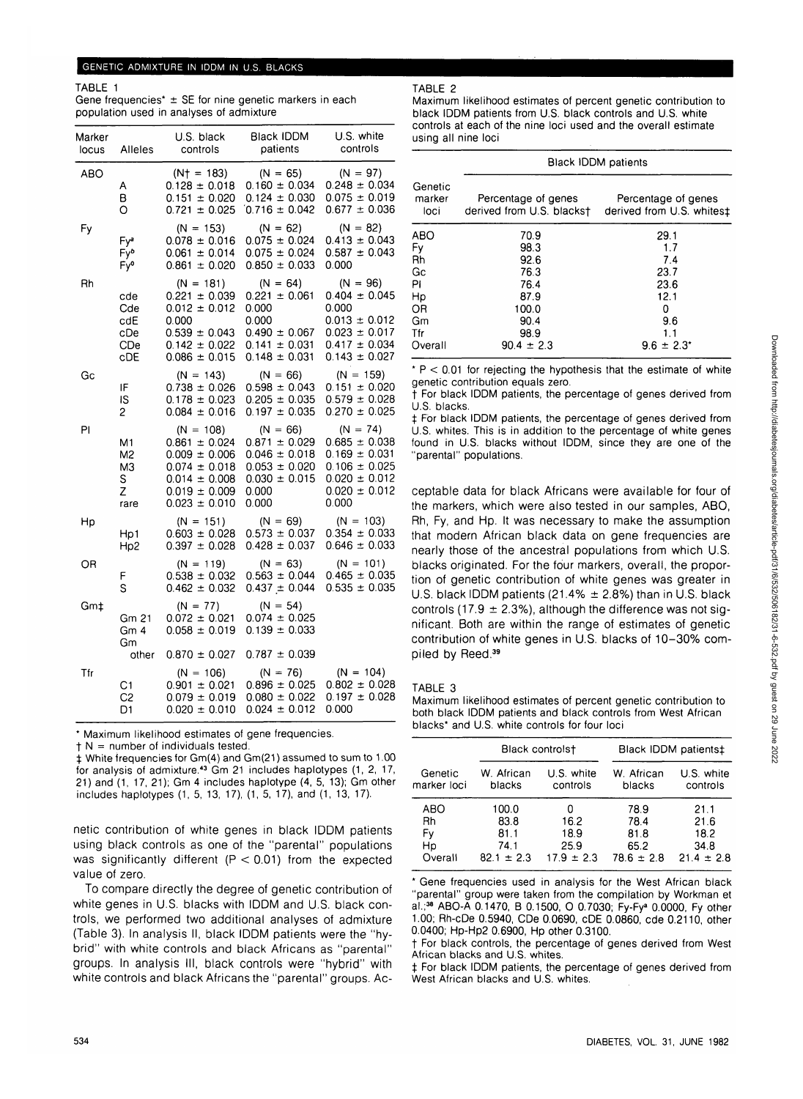# TABLE 1

Gene frequencies<sup>\*</sup>  $\pm$  SE for nine genetic markers in each population used in analyses of admixture

| Marker<br>locus | Alleles                                                  | <b>Black IDDM</b><br>U.S. black<br>controls<br>patients                                                                                   |                                                                                                                  | U.S. white<br>controls                                                                                                       |  |
|-----------------|----------------------------------------------------------|-------------------------------------------------------------------------------------------------------------------------------------------|------------------------------------------------------------------------------------------------------------------|------------------------------------------------------------------------------------------------------------------------------|--|
| <b>ABO</b>      | Α<br>B<br>O                                              | $(N+ = 183)$<br>$0.128 \pm 0.018$<br>$0.151 \pm 0.020$<br>$0.721 \pm 0.025$                                                               | $(N = 65)$<br>$0.160 \pm 0.034$<br>$0.124 \pm 0.030$<br>$0.716 \pm 0.042$                                        | $(N = 97)$<br>$0.248 \pm 0.034$<br>$0.075 \pm 0.019$<br>$0.677 \pm 0.036$                                                    |  |
| Fy              | Fyª<br>Fyb<br>Fyº                                        | $(N = 153)$<br>$0.078 \pm 0.016$<br>$0.061 \pm 0.014$<br>$0.861 \pm 0.020$                                                                | $(N = 62)$<br>$0.075 \pm 0.024$<br>$0.075 \pm 0.024$<br>$0.850 \pm 0.033$                                        | $(N = 82)$<br>$0.413 \pm 0.043$<br>$0.587 \pm 0.043$<br>0.000                                                                |  |
| Rh              | cde<br>Cde<br>cdE<br>cDe<br>CDe<br>cDE                   | $(N = 181)$<br>$0.221 \pm 0.039$<br>$0.012 \pm 0.012$<br>0.000<br>$0.539 \pm 0.043$<br>$0.142 \pm 0.022$<br>$0.086 \pm 0.015$             | $(N = 64)$<br>$0.221 \pm 0.061$<br>0.000<br>0.000<br>$0.490 \pm 0.067$<br>$0.141 \pm 0.031$<br>$0.148 \pm 0.031$ | $(N = 96)$<br>$0.404 \pm 0.045$<br>0.000<br>$0.013 \pm 0.012$<br>$0.023 \pm 0.017$<br>$0.417 \pm 0.034$<br>$0.143 \pm 0.027$ |  |
| Gc              | ١F<br>IS<br>2                                            | $(N = 143)$<br>$0.738 \pm 0.026$<br>$0.178 \pm 0.023$<br>$0.084 \pm 0.016$                                                                | $(N = 66)$<br>$0.598 \pm 0.043$<br>$0.205 \pm 0.035$<br>$0.197 \pm 0.035$                                        | $(N = 159)$<br>$0.151 \pm 0.020$<br>$0.579 \pm 0.028$<br>$0.270 \pm 0.025$                                                   |  |
| PI              | M1<br>M <sub>2</sub><br>M <sub>3</sub><br>S<br>Z<br>rare | $(N = 108)$<br>$0.861 \pm 0.024$<br>$0.009 \pm 0.006$<br>$0.074 \pm 0.018$<br>$0.014 \pm 0.008$<br>$0.019 \pm 0.009$<br>$0.023 \pm 0.010$ | $(N = 66)$<br>$0.871 \pm 0.029$<br>$0.046 \pm 0.018$<br>$0.053 \pm 0.020$<br>$0.030 \pm 0.015$<br>0.000<br>0.000 | $(N = 74)$<br>$0.685 \pm 0.038$<br>$0.169 \pm 0.031$<br>$0.106 \pm 0.025$<br>$0.020 \pm 0.012$<br>$0.020 \pm 0.012$<br>0.000 |  |
| Hp              | Hp1<br>Hp <sub>2</sub>                                   | $(N = 151)$<br>$0.603 \pm 0.028$<br>$0.397 \pm 0.028$                                                                                     | $(N = 69)$<br>$0.573 \pm 0.037$<br>$0.428 \pm 0.037$                                                             | $(N = 103)$<br>$0.354 \pm 0.033$<br>$0.646 \pm 0.033$                                                                        |  |
| OR              | F<br>Ś                                                   | $(N = 119)$<br>$0.538 \pm 0.032$<br>$0.462 \pm 0.032$                                                                                     | $(N = 63)$<br>$0.563 \pm 0.044$<br>$0.437 \pm 0.044$                                                             | $(N = 101)$<br>$0.465 \pm 0.035$<br>$0.535 \pm 0.035$                                                                        |  |
| $Gm+$           | Gm 21<br>Gm 4<br>Gm                                      | $(N = 77)$<br>$0.072 \pm 0.021$<br>$0.058 \pm 0.019$                                                                                      | $(N = 54)$<br>$0.074 \pm 0.025$<br>$0.139 \pm 0.033$                                                             |                                                                                                                              |  |
|                 | other                                                    | $0.870 \pm 0.027$                                                                                                                         | $0.787 \pm 0.039$                                                                                                |                                                                                                                              |  |
| Tfr             | C1<br>C2<br>D1                                           | $(N = 106)$<br>$0.901 \pm 0.021$<br>$0.079 \pm 0.019$<br>$0.020 \pm 0.010$                                                                | $(N = 76)$<br>$0.896 \pm 0.025$<br>$0.080 \pm 0.022$<br>$0.024 \pm 0.012$                                        | $(N = 104)$<br>$0.802 \pm 0.028$<br>$0.197 \pm 0.028$<br>0.000                                                               |  |

\* Maximum likelihood estimates of gene frequencies.

 $\dagger$  N = number of individuals tested.

‡ White frequencies for Gm(4) and Gm(21) assumed to sum to 1.00 for analysis of admixture.<sup>43</sup> Gm 21 includes haplotypes (1, 2, 17, 21) and (1, 17, 21); Gm 4 includes haplotype (4, 5, 13); Gm other includes haplotypes (1, 5, 13, 17), (1, 5, 17), and (1, 13, 17).

netic contribution of white genes in black IDDM patients using black controls as one of the "parental" populations was significantly different ( $P < 0.01$ ) from the expected value of zero

To compare directly the degree of genetic contribution of white genes in U.S. blacks with IDDM and U.S. black controls, we performed two additional analyses of admixture (Table 3). In analysis II, black IDDM patients were the "hybrid" with white controls and black Africans as "parental" groups. In analysis III, black controls were "hybrid" with white controls and black Africans the "parental" groups. Ac-

# TARIF<sub>2</sub>

Maximum likelihood estimates of percent genetic contribution to black IDDM patients from U.S. black controls and U.S. white controls at each of the nine loci used and the overall estimate using all nine loci

|                           |                                                  | <b>Black IDDM patients</b>                       |
|---------------------------|--------------------------------------------------|--------------------------------------------------|
| Genetic<br>marker<br>loci | Percentage of genes<br>derived from U.S. blackst | Percentage of genes<br>derived from U.S. whitest |
| ABO                       | 70.9                                             | 29.1                                             |
| Fy                        | 98.3                                             | 1.7                                              |
| Rh                        | 92.6                                             | 7.4                                              |
| Gc                        | 76.3                                             | 23.7                                             |
| Pi                        | 76.4                                             | 23.6                                             |
| Hp                        | 87.9                                             | 12.1                                             |
| OR                        | 100.0                                            | 0                                                |
| Gm                        | 90.4                                             | 9.6                                              |
| Tfr                       | 98.9                                             | 1.1                                              |
| Overall                   | $90.4 \pm 2.3$                                   | $9.6 \pm 2.3^{\star}$                            |

\*  $P < 0.01$  for rejecting the hypothesis that the estimate of white genetic contribution equals zero.

† For black IDDM patients, the percentage of genes derived from U.S. blacks.

‡ For black IDDM patients, the percentage of genes derived from U.S. whites. This is in addition to the percentage of white genes found in U.S. blacks without IDDM, since they are one of the "parental" populations.

ceptable data for black Africans were available for four of the markers, which were also tested in our samples, ABO, Rh, Fy, and Hp. It was necessary to make the assumption that modern African black data on gene frequencies are nearly those of the ancestral populations from which U.S. blacks originated. For the four markers, overall, the proportion of genetic contribution of white genes was greater in U.S. black IDDM patients (21.4%  $\pm$  2.8%) than in U.S. black controls (17.9  $\pm$  2.3%), although the difference was not significant. Both are within the range of estimates of genetic contribution of white genes in U.S. blacks of 10-30% compiled by Reed.<sup>39</sup>

| k. |  |
|----|--|
|    |  |

Maximum likelihood estimates of percent genetic contribution to both black IDDM patients and black controls from West African blacks\* and U.S. white controls for four loci

|             | Black controlst |                | Black IDDM patients: |                |
|-------------|-----------------|----------------|----------------------|----------------|
| Genetic     | W. African      | U.S. white     | W. African           | U.S. white     |
| marker loci | blacks          | controls       | blacks               | controls       |
| <b>ABO</b>  | 100.0           | 0              | 78.9                 | 21.1           |
| Rh          | 83.8            | 16.2           | 78.4                 | 21.6           |
| Fy          | 81.1            | 18.9           | 81.8                 | 18.2           |
| Hp          | 74.1            | 25.9           | 65.2                 | 34.8           |
| Overall     | $82.1 \pm 2.3$  | $17.9 \pm 2.3$ | $78.6 \pm 2.8$       | $21.4 \pm 2.8$ |

\* Gene frequencies used in analysis for the West African black "parental" group were taken from the compilation by Workman et al.;<sup>38</sup> ABO-A 0.1470, B 0.1500, O 0.7030; Fy-Fy<sup>a</sup> 0.0000, Fy other 1.00; Rh-cDe 0.5940, CDe 0.0690, cDE 0.0860, cde 0.2110, other 0.0400; Hp-Hp2 0.6900, Hp other 0.3100.

† For black controls, the percentage of genes derived from West African blacks and U.S. whites.

‡ For black IDDM patients, the percentage of genes derived from West African blacks and U.S. whites.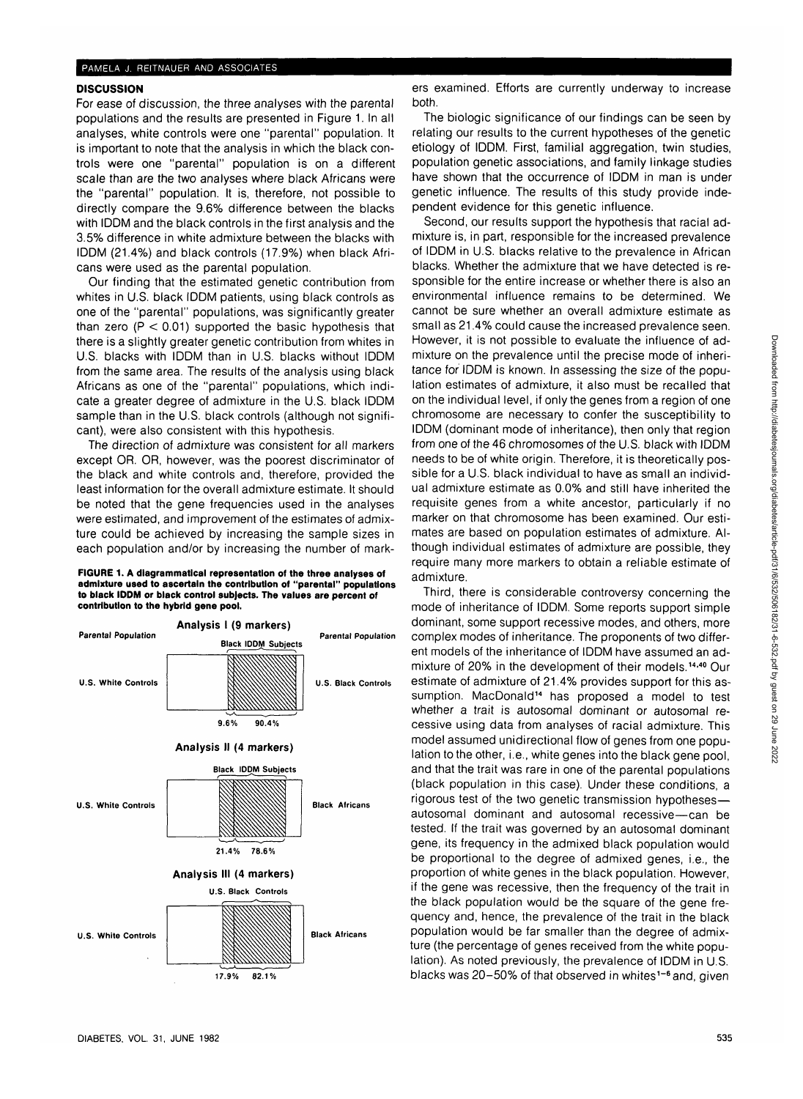# **DISCUSSION**

For ease of discussion, the three analyses with the parental populations and the results are presented in Figure 1. In all analyses, white controls were one "parental" population. It is important to note that the analysis in which the black controls were one "parental" population is on a different scale than are the two analyses where black Africans were the "parental" population. It is, therefore, not possible to directly compare the 9.6% difference between the blacks with IDDM and the black controls in the first analysis and the 3.5% difference in white admixture between the blacks with IDDM (21.4%) and black controls (17.9%) when black Africans were used as the parental population.

Our finding that the estimated genetic contribution from whites in U.S. black IDDM patients, using black controls as one of the "parental" populations, was significantly greater than zero ( $P < 0.01$ ) supported the basic hypothesis that there is a slightly greater genetic contribution from whites in U.S. blacks with IDDM than in U.S. blacks without IDDM from the same area. The results of the analysis using black Africans as one of the "parental" populations, which indicate a greater degree of admixture in the U.S. black IDDM sample than in the U.S. black controls (although not significant), were also consistent with this hypothesis.

The direction of admixture was consistent for all markers except OR. OR, however, was the poorest discriminator of the black and white controls and, therefore, provided the least information for the overall admixture estimate. It should be noted that the gene frequencies used in the analyses were estimated, and improvement of the estimates of admixture could be achieved by increasing the sample sizes in each population and/or by increasing the number of mark-

#### **FIGURE 1. A diagrammatical representation of the three analyses of admixture used to ascertain the contribution of "parental" populations to black IDDM or black control subjects. The values are percent of contribution to the hybrid gene pool.**



ers examined. Efforts are currently underway to increase both.

The biologic significance of our findings can be seen by relating our results to the current hypotheses of the genetic etiology of IDDM. First, familial aggregation, twin studies, population genetic associations, and family linkage studies have shown that the occurrence of IDDM in man is under genetic influence. The results of this study provide independent evidence for this genetic influence.

Second, our results support the hypothesis that racial admixture is, in part, responsible for the increased prevalence of IDDM in U.S. blacks relative to the prevalence in African blacks. Whether the admixture that we have detected is responsible for the entire increase or whether there is also an environmental influence remains to be determined. We cannot be sure whether an overall admixture estimate as small as 21.4% could cause the increased prevalence seen. However, it is not possible to evaluate the influence of admixture on the prevalence until the precise mode of inheritance for IDDM is known. In assessing the size of the population estimates of admixture, it also must be recalled that on the individual level, if only the genes from a region of one chromosome are necessary to confer the susceptibility to IDDM (dominant mode of inheritance), then only that region from one of the 46 chromosomes of the U.S. black with IDDM needs to be of white origin. Therefore, it is theoretically possible for a U.S. black individual to have as small an individual admixture estimate as 0.0% and still have inherited the requisite genes from a white ancestor, particularly if no marker on that chromosome has been examined. Our estimates are based on population estimates of admixture. Although individual estimates of admixture are possible, they require many more markers to obtain a reliable estimate of admixture.

Third, there is considerable controversy concerning the mode of inheritance of IDDM. Some reports support simple dominant, some support recessive modes, and others, more complex modes of inheritance. The proponents of two different models of the inheritance of IDDM have assumed an admixture of 20% in the development of their models.<sup>14,40</sup> Our estimate of admixture of 21.4% provides support for this assumption. MacDonald<sup>14</sup> has proposed a model to test whether a trait is autosomal dominant or autosomal recessive using data from analyses of racial admixture. This model assumed unidirectional flow of genes from one population to the other, i.e., white genes into the black gene pool, and that the trait was rare in one of the parental populations (black population in this case). Under these conditions, a rigorous test of the two genetic transmission hypotheses autosomal dominant and autosomal recessive—can be tested. If the trait was governed by an autosomal dominant gene, its frequency in the admixed black population would be proportional to the degree of admixed genes, i.e., the proportion of white genes in the black population. However, if the gene was recessive, then the frequency of the trait in the black population would be the square of the gene frequency and, hence, the prevalence of the trait in the black population would be far smaller than the degree of admixture (the percentage of genes received from the white population). As noted previously, the prevalence of IDDM in U.S. katery, we here a previously, the provaience of BBM in 0,0.<br>blacks was 20–50% of that observed in whites1=6 and, given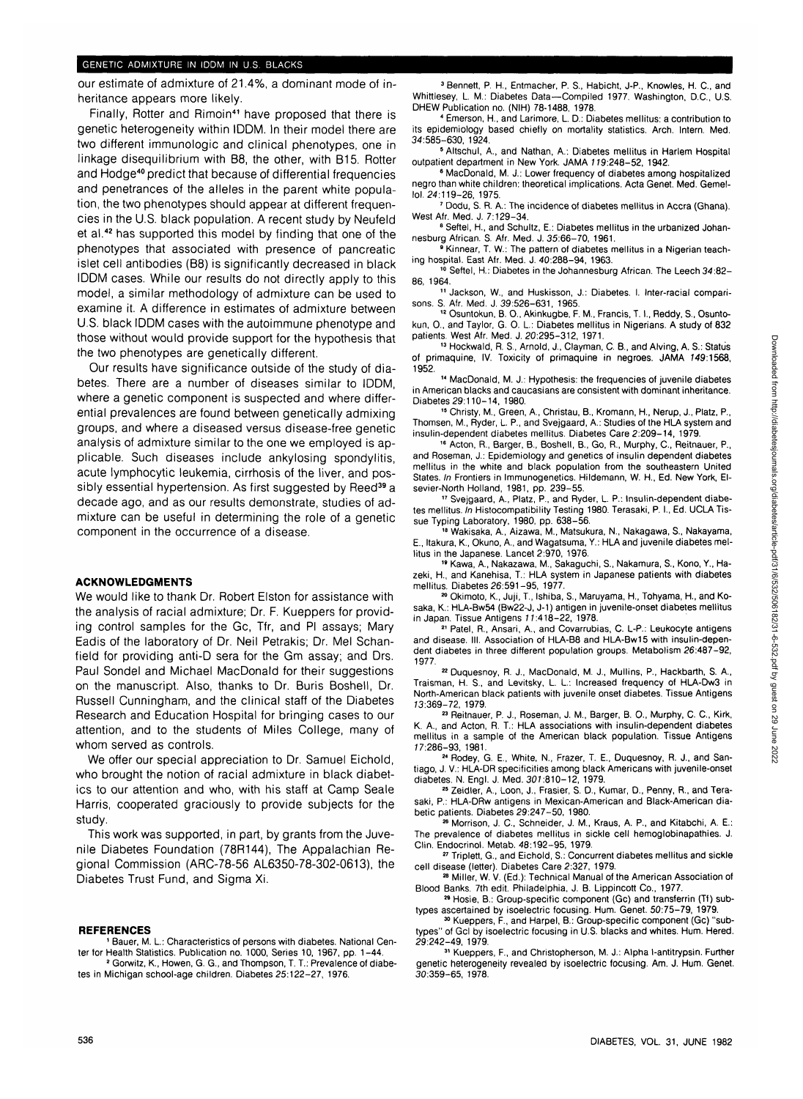our estimate of admixture of 21.4%, a dominant mode of inheritance appears more likely.

Finally, Rotter and Rimoin<sup>41</sup> have proposed that there is genetic heterogeneity within IDDM. In their model there are two different immunologic and clinical phenotypes, one in linkage disequilibrium with B8, the other, with B15. Rotter and Hodge<sup>40</sup> predict that because of differential frequencies and penetrances of the alleles in the parent white population, the two phenotypes should appear at different frequencies in the U.S. black population. A recent study by Neufeld et al.<sup>42</sup> has supported this model by finding that one of the phenotypes that associated with presence of pancreatic islet cell antibodies (B8) is significantly decreased in black IDDM cases. While our results do not directly apply to this model, a similar methodology of admixture can be used to examine it. A difference in estimates of admixture between U.S. black IDDM cases with the autoimmune phenotype and those without would provide support for the hypothesis that the two phenotypes are genetically different.

Our results have significance outside of the study of diabetes. There are a number of diseases similar to IDDM, where a genetic component is suspected and where differential prevalences are found between genetically admixing groups, and where a diseased versus disease-free genetic analysis of admixture similar to the one we employed is applicable. Such diseases include ankylosing spondylitis, acute lymphocytic leukemia, cirrhosis of the liver, and possibly essential hypertension. As first suggested by Reed<sup>39</sup> a decade ago, and as our results demonstrate, studies of admixture can be useful in determining the role of a genetic component in the occurrence of a disease.

# **ACKNOWLEDGMENTS**

We would like to thank Dr. Robert Elston for assistance with the analysis of racial admixture; Dr. F. Kueppers for providing control samples for the Gc, Tfr, and PI assays; Mary Eadis of the laboratory of Dr. Neil Petrakis; Dr. Mel Schanfield for providing anti-D sera for the Gm assay; and Drs. Paul Sondel and Michael MacDonald for their suggestions on the manuscript. Also, thanks to Dr. Buris Boshell, Dr. Russell Cunningham, and the clinical staff of the Diabetes Research and Education Hospital for bringing cases to our attention, and to the students of Miles College, many of whom served as controls.

We offer our special appreciation to Dr. Samuel Eichold, who brought the notion of racial admixture in black diabetics to our attention and who, with his staff at Camp Seale Harris, cooperated graciously to provide subjects for the study.

This work was supported, in part, by grants from the Juvenile Diabetes Foundation (78R144), The Appalachian Regional Commission (ARC-78-56 AL6350-78-302-0613), the Diabetes Trust Fund, and Sigma Xi.

### **REFERENCES**

 Bauer, M. L: Characteristics of persons with diabetes. National Center for Health Statistics. Publication no. 1000, Series 10, 1967, pp. 1-44

 Gorwitz, K., Howen, G. G., and Thompson, T. T.: Prevalence of diabetes in Michigan school-age children. Diabetes 25:122-27, 1976.

3 Bennett, P. H., Entmacher, P. S., Habicht, J-P., Knowles, H. C, and Whittlesey, L. M.: Diabetes Data—Compiled 1977. Washington, D.C., U.S. DHEW Publication no. (NIH) 78-1488, 1978.

4 Emerson, H., and Larimore, L D.: Diabetes mellitus: a contribution to its epidemiology based chiefly on mortality statistics. Arch. Intern. Med. 34:585-630, 1924.

s Altschul, A., and Nathan, A.: Diabetes mellitus in Harlem Hospital outpatient department in New York. JAMA 7 79:248-52, 1942.

6 MacDonald, M. J.: Lower frequency of diabetes among hospitalized negro than white children: theoretical implications. Acta Genet. Med. Gemellol. 24:119-26, 1975.

 Dodu, S. R. A.: The incidence of diabetes mellitus in Accra (Ghana). West Afr. Med. J. 7:129-34

<sup>8</sup> Seftel, H., and Schultz, E.: Diabetes mellitus in the urbanized Johannesburg African. S. Afr. Med. J. 35:66-70, 1961.

Kinnear, T. W.: The pattern of diabetes mellitus in a Nigerian teaching hospital. East Afr. Med. J. 40:288-94, 1963. <sup>10</sup> Seftel, H.: Diabetes in the Johannesburg African. The Leech 34:82-

86, 1964.

<sup>11</sup> Jackson, W., and Huskisson, J.: Diabetes. I. Inter-racial comparisons. S. Afr. Med. J. 39:526-631, 1965. <sup>12</sup> Osuntokun, B. O., Akinkugbe, F. M., Francis, T. I., Reddy, S., Osunto-

kun, O., and Taylor, G. 0. L: Diabetes mellitus in Nigerians. A study of 832 patients. West Afr. Med. J. 20:295-312, 1971. <sup>13</sup>

<sup>13</sup> Hockwald, R. S., Arnold, J., Clayman, C. B., and Alving, A. S.: Status of primaquine, IV. Toxicity of primaquine in negroes. JAMA 749:1568, 1952.

14 MacDonald, M. J.: Hypothesis: the frequencies of juvenile diabetes in American blacks and Caucasians are consistent with dominant inheritance. Diabetes 29:110-14, 1980.

 Christy, M., Green, A., Christau, B., Kromann, H., Nerup, J., Platz, P., Thomsen, M., Ryder, L. P., and Svejgaard, A.: Studies of the HLA system and<br>insulin-dependent diabetes mellitus. Diabetes Care 2:209–14. 1979. insulin-dependent diabetes mellitus. Diabetes Care 2:209-14, 1979. <sup>16</sup> Acton, R., Barger, B., Boshell, B., Go, R., Murphy, C, Reitnauer, P.,

and Roseman, J.: Epidemiology and genetics of insulin dependent diabetes mellitus in the white and black population from the southeastern United States. In Frontiers in Immunogenetics. Hildemann, W. H., Ed. New York, Elsevier-North Holland, 1981, pp. 239-55.

17 Svejgaard, A., Platz, P., and Ryder, L P.: Insulin-dependent diabetes mellitus. In Histocompatibility Testing 1980. Terasaki, P. I., Ed. UCLA Tissue Typing Laboratory, 1980, pp. 638-56.

 Wakisaka, A., Aizawa, M., Matsukura, N., Nakagawa, S., Nakayama, E., Itakura, K., Okuno, A., and Wagatsuma, Y.: HLA and juvenile diabetes mellitus in the Japanese. Lancet 2:970, 1976. <sup>19</sup>

 Kawa, A., Nakazawa, M., Sakaguchi, S., Nakamura, S., Kono, Y., Hazeki, H., and Kanehisa, T.: HLA system in Japanese patients with diabetes mellitus. Diabetes 26:591-95, 1977.

 Okimoto, K., Juji, T., Ishiba, S., Maruyama, H., Tohyama, H., and Kosaka, K.: HLA-Bw54 (Bw22-J, J-1) antigen in juvenile-onset diabetes mellitus in Japan. Tissue Antigens 7 7:418-22, 1978.

21 Patel, R., Ansari, A., and Covarrubias, C. L-P.: Leukocyte antigens and disease. III. Association of HLA-B8 and HLA-Bw15 with insulin-dependent diabetes in three different population groups. Metabolism 26:487-92, 1977.

22 Duquesnoy, R. J., MacDonald, M. J., Mullins, P., Hackbarth, S. A., Traisman, H. S., and Levitsky, L. L.: Increased frequency of HLA-Dw3 in<br>North-American black patients with juvenile onset diabetes. Tissue Antigens 13:369-72, 1979.

<sup>23</sup> Reitnauer, P. J., Roseman, J. M., Barger, B. O., Murphy, C. C., Kirk, K. A., and Acton, R. T.: HLA associations with insulin-dependent diabetes mellitus in a sample of the American black population. Tissue Antigens 17:286-93, 1981.

24 Rodey, G. E., White, N., Frazer, T. E., Duquesnoy, R. J., and Santiago, J. V.: HLA-DR specificities among black Americans with juvenile-onset diabetes. N. Engl. J. Med. 307:810-12, 1979.

<sup>25</sup> Zeidler, A., Loon, J., Frasier, S. D., Kumar, D., Penny, R., and Terasaki, P.: HLA-DRw antigens in Mexican-American and Black-American diabetic patients. Diabetes 29:247-50, 1980.

 Morrison, J. C, Schneider, J. M., Kraus, A. P., and Kitabchi, A. E.: The prevalence of diabetes mellitus in sickle cell hemoglobinapathies. J. Clin. Endocrinol. Metab. 48:192-95, 1979.

27 Triplett, G., and Eichold, S.: Concurrent diabetes mellitus and sickle cell disease (letter). Diabetes Care 2:327, 1979.

28 Miller, W. V. (Ed.): Technical Manual of the American Association of Blood Banks. 7th edit. Philadelphia, J. B. Lippincott Co., 1977.

29 Hosie, B.: Group-specific component (Gc) and transferrin (Tf) sub-

types ascertained by isoelectric focusing. Hum. Genet. 50:75-79, 1979. <sup>30</sup> Kueppers, F., and Harpel, B.: Group-specific component (Gc) "subtypes" of Gel by isoelectric focusing in U.S. blacks and whites. Hum. Hered. 29:242-49, 1979.

31 Kueppers, F., and Christopherson, M. J.: Alpha l-antitrypsin. Further genetic heterogeneity revealed by isoelectric focusing. Am. J. Hum. Genet. 30:359-65, 1978.

2022